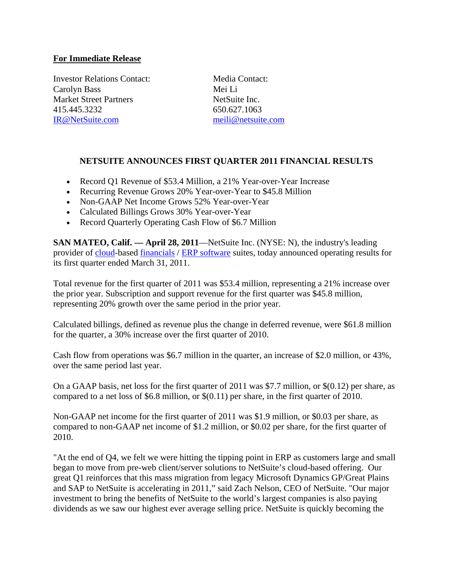## **For Immediate Release**

Investor Relations Contact: Media Contact: Carolyn Bass Mei Li Market Street Partners NetSuite Inc. 415.445.3232 650.627.1063 IR@NetSuite.com meili@netsuite.com

# **NETSUITE ANNOUNCES FIRST QUARTER 2011 FINANCIAL RESULTS**

- Record Q1 Revenue of \$53.4 Million, a 21% Year-over-Year Increase
- Recurring Revenue Grows 20% Year-over-Year to \$45.8 Million
- Non-GAAP Net Income Grows 52% Year-over-Year
- Calculated Billings Grows 30% Year-over-Year
- Record Quarterly Operating Cash Flow of \$6.7 Million

**SAN MATEO, Calif. — April 28, 2011—NetSuite Inc. (NYSE: N), the industry's leading** provider of cloud-based financials / ERP software suites, today announced operating results for its first quarter ended March 31, 2011.

Total revenue for the first quarter of 2011 was \$53.4 million, representing a 21% increase over the prior year. Subscription and support revenue for the first quarter was \$45.8 million, representing 20% growth over the same period in the prior year.

Calculated billings, defined as revenue plus the change in deferred revenue, were \$61.8 million for the quarter, a 30% increase over the first quarter of 2010.

Cash flow from operations was \$6.7 million in the quarter, an increase of \$2.0 million, or 43%, over the same period last year.

On a GAAP basis, net loss for the first quarter of 2011 was \$7.7 million, or \$(0.12) per share, as compared to a net loss of \$6.8 million, or \$(0.11) per share, in the first quarter of 2010.

Non-GAAP net income for the first quarter of 2011 was \$1.9 million, or \$0.03 per share, as compared to non-GAAP net income of \$1.2 million, or \$0.02 per share, for the first quarter of 2010.

"At the end of Q4, we felt we were hitting the tipping point in ERP as customers large and small began to move from pre-web client/server solutions to NetSuite's cloud-based offering. Our great Q1 reinforces that this mass migration from legacy Microsoft Dynamics GP/Great Plains and SAP to NetSuite is accelerating in 2011," said Zach Nelson, CEO of NetSuite. "Our major investment to bring the benefits of NetSuite to the world's largest companies is also paying dividends as we saw our highest ever average selling price. NetSuite is quickly becoming the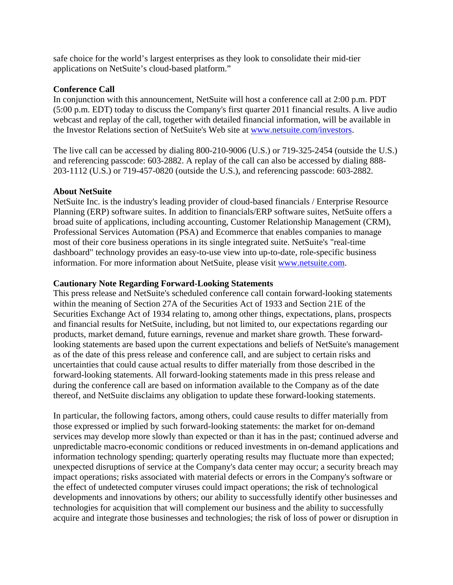safe choice for the world's largest enterprises as they look to consolidate their mid-tier applications on NetSuite's cloud-based platform."

## **Conference Call**

In conjunction with this announcement, NetSuite will host a conference call at 2:00 p.m. PDT (5:00 p.m. EDT) today to discuss the Company's first quarter 2011 financial results. A live audio webcast and replay of the call, together with detailed financial information, will be available in the Investor Relations section of NetSuite's Web site at www.netsuite.com/investors.

The live call can be accessed by dialing 800-210-9006 (U.S.) or 719-325-2454 (outside the U.S.) and referencing passcode: 603-2882. A replay of the call can also be accessed by dialing 888- 203-1112 (U.S.) or 719-457-0820 (outside the U.S.), and referencing passcode: 603-2882.

### **About NetSuite**

NetSuite Inc. is the industry's leading provider of cloud-based financials / Enterprise Resource Planning (ERP) software suites. In addition to financials/ERP software suites, NetSuite offers a broad suite of applications, including accounting, Customer Relationship Management (CRM), Professional Services Automation (PSA) and Ecommerce that enables companies to manage most of their core business operations in its single integrated suite. NetSuite's "real-time dashboard" technology provides an easy-to-use view into up-to-date, role-specific business information. For more information about NetSuite, please visit www.netsuite.com.

### **Cautionary Note Regarding Forward-Looking Statements**

This press release and NetSuite's scheduled conference call contain forward-looking statements within the meaning of Section 27A of the Securities Act of 1933 and Section 21E of the Securities Exchange Act of 1934 relating to, among other things, expectations, plans, prospects and financial results for NetSuite, including, but not limited to, our expectations regarding our products, market demand, future earnings, revenue and market share growth. These forwardlooking statements are based upon the current expectations and beliefs of NetSuite's management as of the date of this press release and conference call, and are subject to certain risks and uncertainties that could cause actual results to differ materially from those described in the forward-looking statements. All forward-looking statements made in this press release and during the conference call are based on information available to the Company as of the date thereof, and NetSuite disclaims any obligation to update these forward-looking statements.

In particular, the following factors, among others, could cause results to differ materially from those expressed or implied by such forward-looking statements: the market for on-demand services may develop more slowly than expected or than it has in the past; continued adverse and unpredictable macro-economic conditions or reduced investments in on-demand applications and information technology spending; quarterly operating results may fluctuate more than expected; unexpected disruptions of service at the Company's data center may occur; a security breach may impact operations; risks associated with material defects or errors in the Company's software or the effect of undetected computer viruses could impact operations; the risk of technological developments and innovations by others; our ability to successfully identify other businesses and technologies for acquisition that will complement our business and the ability to successfully acquire and integrate those businesses and technologies; the risk of loss of power or disruption in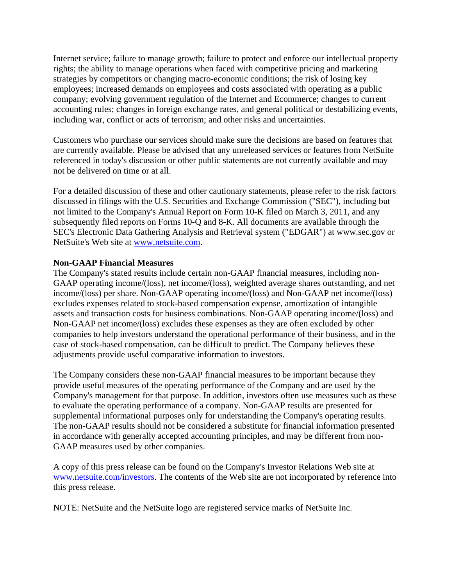Internet service; failure to manage growth; failure to protect and enforce our intellectual property rights; the ability to manage operations when faced with competitive pricing and marketing strategies by competitors or changing macro-economic conditions; the risk of losing key employees; increased demands on employees and costs associated with operating as a public company; evolving government regulation of the Internet and Ecommerce; changes to current accounting rules; changes in foreign exchange rates, and general political or destabilizing events, including war, conflict or acts of terrorism; and other risks and uncertainties.

Customers who purchase our services should make sure the decisions are based on features that are currently available. Please be advised that any unreleased services or features from NetSuite referenced in today's discussion or other public statements are not currently available and may not be delivered on time or at all.

For a detailed discussion of these and other cautionary statements, please refer to the risk factors discussed in filings with the U.S. Securities and Exchange Commission ("SEC"), including but not limited to the Company's Annual Report on Form 10-K filed on March 3, 2011, and any subsequently filed reports on Forms 10-Q and 8-K. All documents are available through the SEC's Electronic Data Gathering Analysis and Retrieval system ("EDGAR") at www.sec.gov or NetSuite's Web site at www.netsuite.com.

### **Non-GAAP Financial Measures**

The Company's stated results include certain non-GAAP financial measures, including non-GAAP operating income/(loss), net income/(loss), weighted average shares outstanding, and net income/(loss) per share. Non-GAAP operating income/(loss) and Non-GAAP net income/(loss) excludes expenses related to stock-based compensation expense, amortization of intangible assets and transaction costs for business combinations. Non-GAAP operating income/(loss) and Non-GAAP net income/(loss) excludes these expenses as they are often excluded by other companies to help investors understand the operational performance of their business, and in the case of stock-based compensation, can be difficult to predict. The Company believes these adjustments provide useful comparative information to investors.

The Company considers these non-GAAP financial measures to be important because they provide useful measures of the operating performance of the Company and are used by the Company's management for that purpose. In addition, investors often use measures such as these to evaluate the operating performance of a company. Non-GAAP results are presented for supplemental informational purposes only for understanding the Company's operating results. The non-GAAP results should not be considered a substitute for financial information presented in accordance with generally accepted accounting principles, and may be different from non-GAAP measures used by other companies.

A copy of this press release can be found on the Company's Investor Relations Web site at www.netsuite.com/investors. The contents of the Web site are not incorporated by reference into this press release.

NOTE: NetSuite and the NetSuite logo are registered service marks of NetSuite Inc.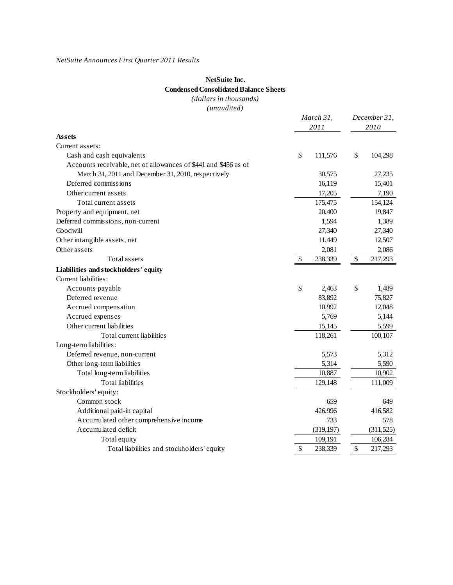*NetSuite Announces First Quarter 2011 Results*

# **Condensed Consolidated Balance Sheets NetSuite Inc.**

*(dollars in thousands) (unaudited)*

*March 31, December 31, 2011 2010* **Assets** Current assets: Cash and cash equivalents  $\qquad \qquad$  111,576  $\qquad \qquad$  104,298 Accounts receivable, net of allowances of \$441 and \$456 as of March 31, 2011 and December 31, 2010, respectively 30,575 27,235 Deferred commissions 15,401 15,401 Other current assets 17,205 7,190 Total current assets 175,475 154,124 Property and equipment, net 20,400 19,847 Deferred commissions, non-current 1,594 1,389 Goodwill 27,340 27,340 Other intangible assets, net 11,449 12,507 Other assets 2,086 Total assets 217,293 \$ 217,293 **Liabilities and stockholders' equity** Current liabilities: Accounts payable  $\qquad \qquad$  2,463  $\qquad \qquad$  2,463  $\qquad \qquad$  1,489 Deferred revenue 83,892 75,827 Accrued compensation 10,992 12,048 Accrued expenses 5,144 Other current liabilities 15,599 5,599 Total current liabilities 118,261 100,107 Long-term liabilities: Deferred revenue, non-current 5,312 5,312 Other long-term liabilities 5,590 Total long-term liabilities 10,987 10,902 Total liabilities 129,148 111,009 Stockholders' equity: Common stock 659 649 Additional paid-in capital 416,582 Accumulated other comprehensive income 733 578 Accumulated deficit (319,197) (311,525) Total equity 109,191 106,284 Total liabilities and stockholders' equity 238,339 \$ 217,293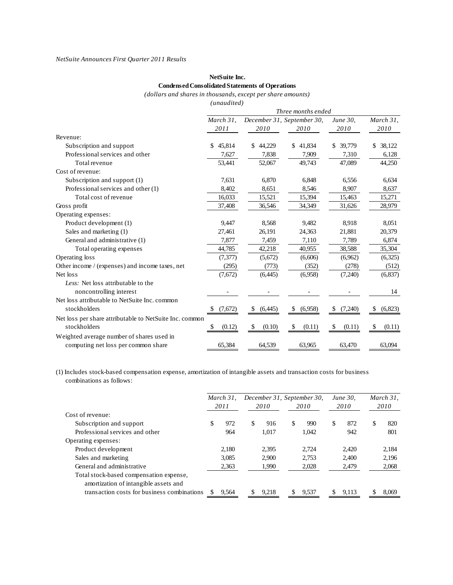### **NetSuite Inc. Condensed Consolidated Statements of Operations**

### *(dollars and shares in thousands, except per share amounts)*

*(unaudited)*

|                                                         | Three months ended |               |                            |                 |               |  |
|---------------------------------------------------------|--------------------|---------------|----------------------------|-----------------|---------------|--|
|                                                         | March 31,          |               | December 31, September 30, | <i>June 30,</i> | March 31,     |  |
|                                                         | 2011               | 2010          | 2010                       | 2010            | 2010          |  |
| Revenue:                                                |                    |               |                            |                 |               |  |
| Subscription and support                                | 45,814<br>\$       | \$44,229      | \$<br>41,834               | 39,779<br>\$    | 38,122<br>\$. |  |
| Professional services and other                         | 7,627              | 7,838         | 7,909                      | 7,310           | 6,128         |  |
| Total revenue                                           | 53,441             | 52,067        | 49,743                     | 47.089          | 44,250        |  |
| Cost of revenue:                                        |                    |               |                            |                 |               |  |
| Subscription and support (1)                            | 7,631              | 6,870         | 6,848                      | 6,556           | 6,634         |  |
| Professional services and other (1)                     | 8,402              | 8,651         | 8,546                      | 8,907           | 8,637         |  |
| Total cost of revenue                                   | 16,033             | 15,521        | 15,394                     | 15,463          | 15,271        |  |
| Gross profit                                            | 37,408             | 36,546        | 34,349                     | 31,626          | 28,979        |  |
| Operating expenses:                                     |                    |               |                            |                 |               |  |
| Product development (1)                                 | 9,447              | 8,568         | 9,482                      | 8,918           | 8,051         |  |
| Sales and marketing (1)                                 | 27,461             | 26,191        | 24,363                     | 21,881          | 20,379        |  |
| General and administrative (1)                          | 7.877              | 7,459         | 7,110                      | 7,789           | 6,874         |  |
| Total operating expenses                                | 44,785             | 42,218        | 40,955                     | 38,588          | 35,304        |  |
| Operating loss                                          | (7,377)            | (5,672)       | (6,606)                    | (6,962)         | (6,325)       |  |
| Other income / (expenses) and income taxes, net         | (295)              | (773)         | (352)                      | (278)           | (512)         |  |
| Net loss                                                | (7,672)            | (6,445)       | (6,958)                    | (7,240)         | (6,837)       |  |
| Less: Net loss attributable to the                      |                    |               |                            |                 |               |  |
| noncontrolling interest                                 |                    |               |                            |                 | 14            |  |
| Net loss attributable to NetSuite Inc. common           |                    |               |                            |                 |               |  |
| stockholders                                            | (7,672)            | (6,445)<br>\$ | (6,958)<br>\$              | (7,240)<br>\$   | (6,823)<br>\$ |  |
| Net loss per share attributable to NetSuite Inc. common |                    |               |                            |                 |               |  |
| stockholders                                            | (0.12)             | (0.10)        | (0.11)<br>\$               | (0.11)<br>S     | (0.11)<br>S   |  |
| Weighted average number of shares used in               |                    |               |                            |                 |               |  |
| computing net loss per common share                     | 65,384             | 64,539        | 63,965                     | 63,470          | 63,094        |  |
|                                                         |                    |               |                            |                 |               |  |

(1) Includes stock-based compensation expense, amortization of intangible assets and transaction costs for business combinations as follows:

|                                                                                  |     | March 31,<br>2011 |    | 2010  |     | December 31, September 30,<br>2010 |     | June 30,<br>2010 |               | March 31,<br>2010 |
|----------------------------------------------------------------------------------|-----|-------------------|----|-------|-----|------------------------------------|-----|------------------|---------------|-------------------|
| Cost of revenue:                                                                 |     |                   |    |       |     |                                    |     |                  |               |                   |
| Subscription and support                                                         | \$. | 972               | \$ | 916   | \$. | 990                                | \$. | 872              | <sup>\$</sup> | 820               |
| Professional services and other                                                  |     | 964               |    | 1.017 |     | 1.042                              |     | 942              |               | 801               |
| Operating expenses:                                                              |     |                   |    |       |     |                                    |     |                  |               |                   |
| Product development                                                              |     | 2.180             |    | 2.395 |     | 2.724                              |     | 2.420            |               | 2.184             |
| Sales and marketing                                                              |     | 3.085             |    | 2.900 |     | 2.753                              |     | 2.400            |               | 2,196             |
| General and administrative                                                       |     | 2,363             |    | 1,990 |     | 2,028                              |     | 2,479            |               | 2,068             |
| Total stock-based compensation expense,<br>amortization of intangible assets and |     |                   |    |       |     |                                    |     |                  |               |                   |
| transaction costs for business combinations                                      |     | 9.564             | £. | 9.218 | \$. | 9.537                              | -S  | 9.113            |               | 8.069             |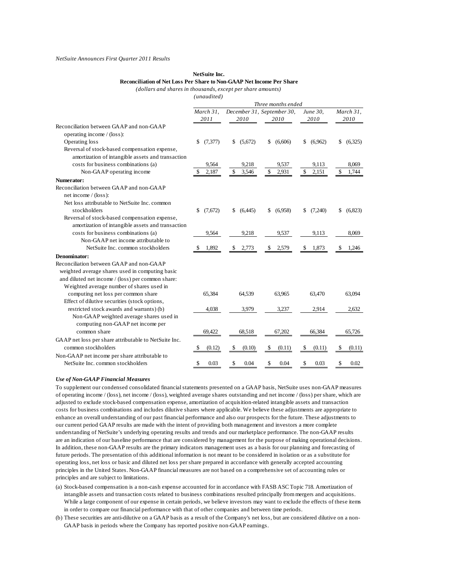#### *NetSuite Announces First Quarter 2011 Results*

### **NetSuite Inc. Reconciliation of Net Loss Per Share to Non-GAAP Net Income Per Share**

*(dollars and shares in thousands, except per share amounts)*

*(unaudited)*

|                                                       | Three months ended |               |                            |               |               |  |
|-------------------------------------------------------|--------------------|---------------|----------------------------|---------------|---------------|--|
|                                                       | March 31,          |               | December 31, September 30, | June 30,      | March 31,     |  |
|                                                       | 2011               | 2010          | 2010                       | 2010          | 2010          |  |
| Reconciliation between GAAP and non-GAAP              |                    |               |                            |               |               |  |
| operating income / (loss):                            |                    |               |                            |               |               |  |
| Operating loss                                        | \$<br>(7,377)      | (5,672)<br>\$ | \$<br>(6,606)              | \$ (6,962)    | \$<br>(6,325) |  |
| Reversal of stock-based compensation expense,         |                    |               |                            |               |               |  |
| amortization of intangible assets and transaction     |                    |               |                            |               |               |  |
| costs for business combinations (a)                   | 9,564              | 9,218         | 9,537                      | 9,113         | 8,069         |  |
| Non-GAAP operating income                             | 2,187<br>S         | \$<br>3,546   | \$<br>2,931                | \$<br>2,151   | \$<br>1,744   |  |
| Numerator:                                            |                    |               |                            |               |               |  |
| Reconciliation between GAAP and non-GAAP              |                    |               |                            |               |               |  |
| net income / (loss):                                  |                    |               |                            |               |               |  |
| Net loss attributable to NetSuite Inc. common         |                    |               |                            |               |               |  |
| stockholders                                          | (7,672)<br>\$      | \$<br>(6,445) | (6.958)<br>\$              | (7,240)<br>S. | \$<br>(6,823) |  |
| Reversal of stock-based compensation expense,         |                    |               |                            |               |               |  |
| amortization of intangible assets and transaction     |                    |               |                            |               |               |  |
| costs for business combinations (a)                   | 9,564              | 9,218         | 9,537                      | 9,113         | 8.069         |  |
| Non-GAAP net income attributable to                   |                    |               |                            |               |               |  |
| NetSuite Inc. common stockholders                     | 1,892              | 2,773         | 2,579                      | 1,873<br>S    | 1.246<br>S    |  |
| Denominator:                                          |                    |               |                            |               |               |  |
| Reconciliation between GAAP and non-GAAP              |                    |               |                            |               |               |  |
| weighted average shares used in computing basic       |                    |               |                            |               |               |  |
| and diluted net income / (loss) per common share:     |                    |               |                            |               |               |  |
| Weighted average number of shares used in             |                    |               |                            |               |               |  |
| computing net loss per common share                   | 65,384             | 64,539        | 63,965                     | 63,470        | 63,094        |  |
| Effect of dilutive securities (stock options,         |                    |               |                            |               |               |  |
| restricted stock awards and warrants) (b)             | 4,038              | 3,979         | 3,237                      | 2,914         | 2,632         |  |
| Non-GAAP weighted average shares used in              |                    |               |                            |               |               |  |
| computing non-GAAP net income per                     |                    |               |                            |               |               |  |
| common share                                          | 69,422             | 68,518        | 67,202                     | 66,384        | 65.726        |  |
| GAAP net loss per share attributable to NetSuite Inc. |                    |               |                            |               |               |  |
| common stockholders                                   | (0.12)             | (0.10)<br>S   | (0.11)<br>S                | S<br>(0.11)   | \$<br>(0.11)  |  |
| Non-GAAP net income per share attributable to         |                    |               |                            |               |               |  |
| NetSuite Inc. common stockholders                     | \$<br>0.03         | \$<br>0.04    | 0.04<br>\$                 | \$<br>0.03    | 0.02<br>S     |  |
|                                                       |                    |               |                            |               |               |  |

#### *Use of Non-GAAP Financial Measures*

To supplement our condensed consolidated financial statements presented on a GAAP basis, NetSuite uses non-GAAP measures of operating income / (loss), net income / (loss), weighted average shares outstanding and net income / (loss) per share, which are adjusted to exclude stock-based compensation expense, amortization of acquisition-related intangible assets and transaction costs for business combinations and includes dilutive shares where applicable. We believe these adjustments are appropriate to enhance an overall understanding of our past financial performance and also our prospects for the future. These adjustments to our current period GAAP results are made with the intent of providing both management and investors a more complete understanding of NetSuite's underlying operating results and trends and our marketplace performance. The non-GAAP results are an indication of our baseline performance that are considered by management for the purpose of making operational decisions. In addition, these non-GAAP results are the primary indicators management uses as a basis for our planning and forecasting of future periods. The presentation of this additional information is not meant to be considered in isolation or as a substitute for operating loss, net loss or basic and diluted net loss per share prepared in accordance with generally accepted accounting principles in the United States. Non-GAAP financial measures are not based on a comprehensive set of accounting rules or principles and are subject to limitations.

- (a) Stock-based compensation is a non-cash expense accounted for in accordance with FASB ASC Topic 718. Amortization of intangible assets and transaction costs related to business combinations resulted principally from mergers and acquisitions. While a large component of our expense in certain periods, we believe investors may want to exclude the effects of these items in order to compare our financial performance with that of other companies and between time periods.
- (b) These securities are anti-dilutive on a GAAP basis as a result of the Company's net loss, but are considered dilutive on a non-GAAP basis in periods where the Company has reported positive non-GAAP earnings.